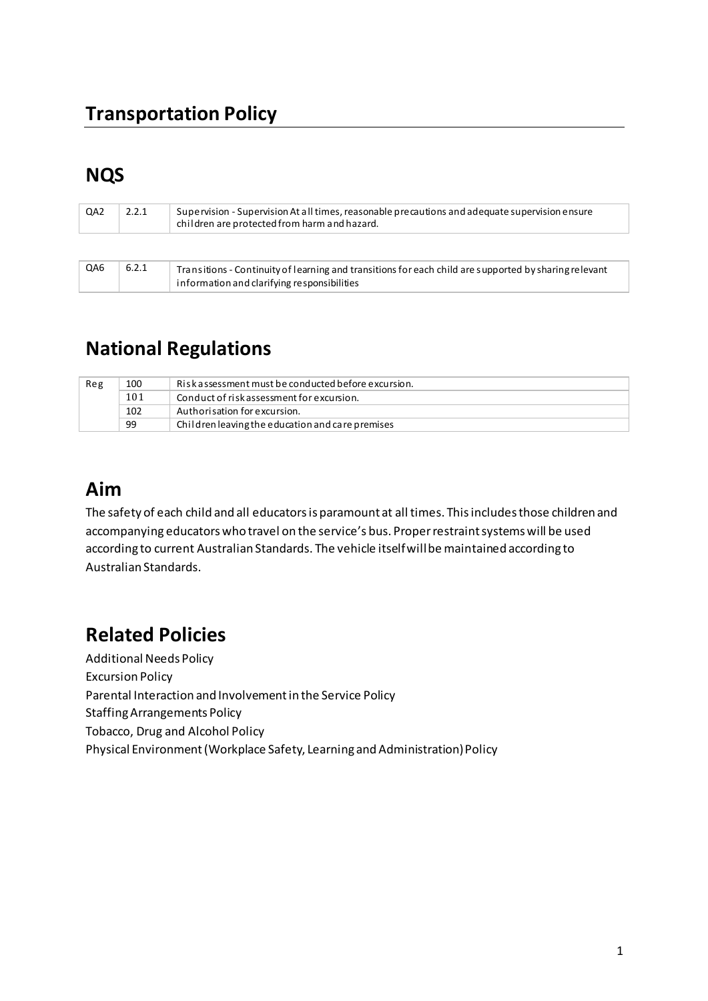### **Transportation Policy**

### **NQS**

| QA2 | 2.2.1 | Supervision - Supervision At all times, reasonable precautions and adequate supervision ensure<br>children are protected from harm and hazard.       |
|-----|-------|------------------------------------------------------------------------------------------------------------------------------------------------------|
|     |       |                                                                                                                                                      |
| QA6 | 6.2.1 | Transitions - Continuity of learning and transitions for each child are supported by sharing relevant<br>information and clarifying responsibilities |

### **National Regulations**

| Reg | 100 | Riskassessment must be conducted before excursion. |
|-----|-----|----------------------------------------------------|
|     | 101 | Conduct of risk assessment for excursion.          |
|     | 102 | Authorisation for excursion.                       |
|     | 99  | Children leaving the education and care premises   |

### **Aim**

The safety of each child and all educators is paramount at all times. This includes those children and accompanying educators who travel on the service's bus. Proper restraint systems will be used according to current Australian Standards. The vehicle itself will be maintained according to Australian Standards.

## **Related Policies**

Additional Needs Policy Excursion Policy Parental Interaction and Involvement in the Service Policy Staffing Arrangements Policy Tobacco, Drug and Alcohol Policy Physical Environment (Workplace Safety, Learning and Administration) Policy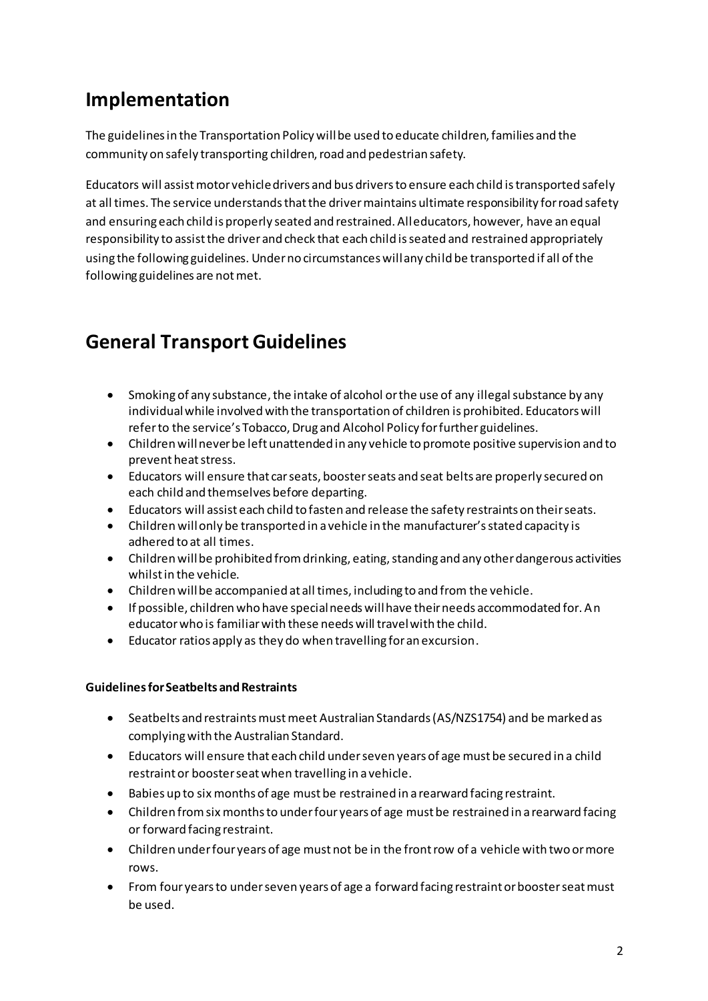## **Implementation**

The guidelines in the Transportation Policy will be used to educate children, families and the community on safely transporting children, road and pedestrian safety.

Educators will assist motor vehicle drivers and bus drivers to ensure each child is transported safely at all times. The service understands that the driver maintains ultimate responsibility for road safety and ensuring each child is properly seated and restrained. All educators, however, have an equal responsibility to assist the driver and check that each child is seated and restrained appropriately using the following guidelines. Under no circumstances will any child be transported if all of the following guidelines are not met.

## **General Transport Guidelines**

- Smoking of any substance, the intake of alcohol or the use of any illegal substance by any individual while involved with the transportation of children is prohibited. Educators will refer to the service's Tobacco, Drug and Alcohol Policy for further guidelines.
- Children will never be left unattended in any vehicle to promote positive supervision and to prevent heat stress.
- Educators will ensure that car seats, booster seats and seat belts are properly secured on each child and themselves before departing.
- Educators will assist each child to fasten and release the safety restraints on their seats.
- Children will only be transported in a vehicle in the manufacturer's stated capacity is adhered to at all times.
- Children will be prohibited from drinking, eating, standing and any other dangerous activities whilst in the vehicle.
- Children will be accompanied at all times, including to and from the vehicle.
- If possible, children who have special needs will have their needs accommodated for. An educator who is familiar with these needs will travel with the child.
- Educator ratios apply as they do when travelling for an excursion.

#### **Guidelines for Seatbelts and Restraints**

- Seatbelts and restraints must meet Australian Standards (AS/NZS1754) and be marked as complying with the Australian Standard.
- Educators will ensure that each child under seven years of age must be secured in a child restraint or booster seat when travelling in a vehicle.
- Babies up to six months of age must be restrained in a rearward facing restraint.
- Children from six months to under four years of age must be restrained in a rearward facing or forward facing restraint.
- Children under four years of age must not be in the front row of a vehicle with two or more rows.
- From four years to under seven years of age a forward facing restraint or booster seat must be used.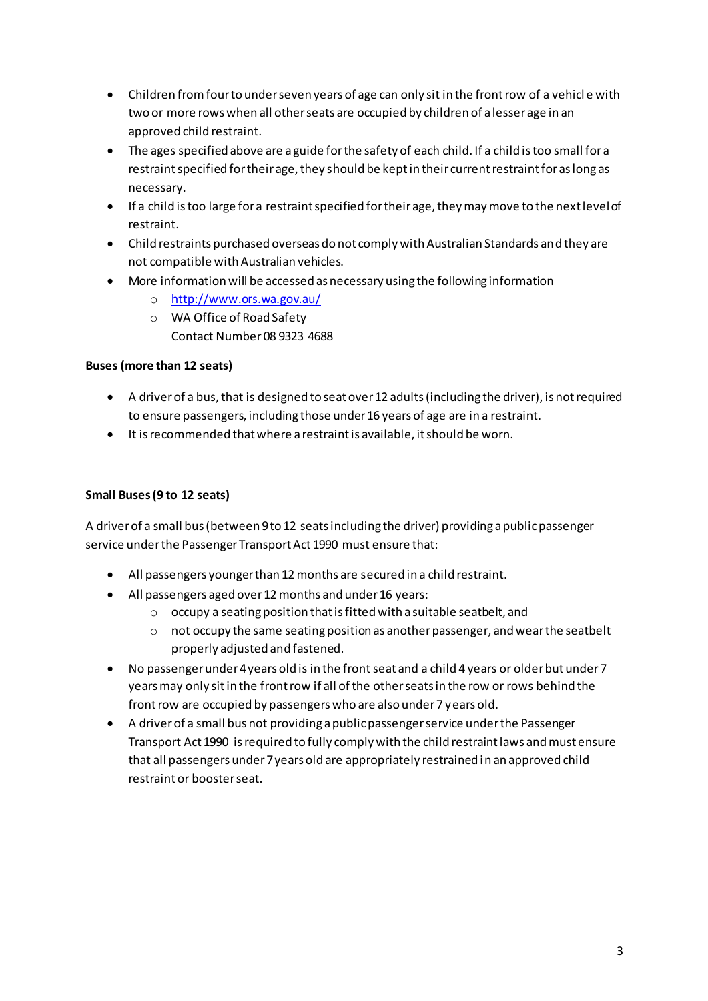- Children from four to under seven years of age can only sit in the front row of a vehicl e with two or more rows when all other seats are occupied by children of a lesser age in an approved child restraint.
- The ages specified above are a guide for the safety of each child. If a child is too small for a restraint specified for their age, they should be kept in their current restraint for as long as necessary.
- If a child is too large for a restraint specified for their age, they may move to the next level of restraint.
- Child restraints purchased overseas do not comply with Australian Standards and they are not compatible with Australian vehicles.
- More information will be accessed as necessary using the following information
	- o <http://www.ors.wa.gov.au/>
	- o WA Office of Road Safety Contact Number 08 9323 4688

#### **Buses (more than 12 seats)**

- A driver of a bus, that is designed to seat over 12 adults (including the driver), is not required to ensure passengers, including those under 16 years of age are in a restraint.
- It is recommended that where a restraint is available, it should be worn.

#### **Small Buses (9 to 12 seats)**

A driver of a small bus (between 9 to 12 seats including the driver) providing a public passenger service under the Passenger Transport Act 1990 must ensure that:

- All passengers younger than 12 months are secured in a child restraint.
- All passengers aged over 12 months and under 16 years:
	- o occupy a seating position that is fitted with a suitable seatbelt, and
	- o not occupy the same seating position as another passenger, and wear the seatbelt properly adjusted and fastened.
- No passenger under 4 years old is in the front seat and a child 4 years or older but under 7 years may only sit in the front row if all of the other seats in the row or rows behind the front row are occupied by passengers who are also under 7 years old.
- A driver of a small bus not providing a public passenger service under the Passenger Transport Act 1990 is required to fully comply with the child restraint laws and must ensure that all passengers under 7 years old are appropriately restrained in an approved child restraint or booster seat.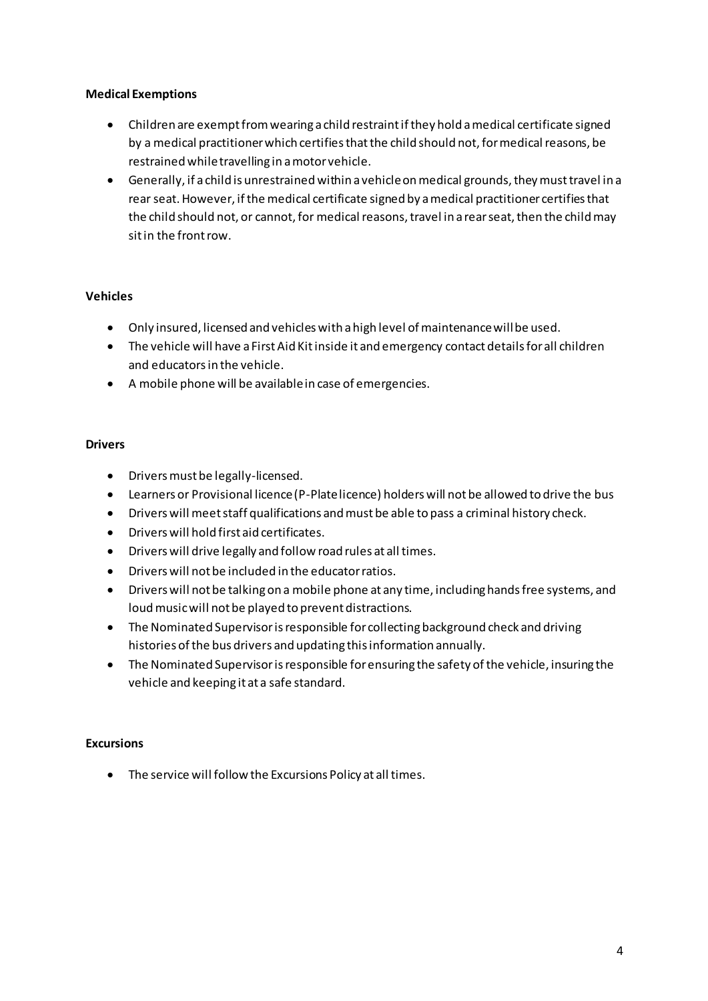#### **Medical Exemptions**

- Children are exempt from wearing a child restraint if they hold a medical certificate signed by a medical practitioner which certifies that the child should not, for medical reasons, be restrained while travelling in a motor vehicle.
- Generally, if a child is unrestrained within a vehicle on medical grounds, they must travel in a rear seat. However, if the medical certificate signed by a medical practitioner certifies that the child should not, or cannot, for medical reasons, travel in a rear seat, then the child may sit in the front row.

#### **Vehicles**

- Only insured, licensed and vehicles with a high level of maintenance will be used.
- The vehicle will have a First Aid Kit inside it and emergency contact details for all children and educators in the vehicle.
- A mobile phone will be available in case of emergencies.

#### **Drivers**

- Drivers must be legally-licensed.
- Learners or Provisional licence (P-Plate licence) holders will not be allowed to drive the bus
- Drivers will meet staff qualifications and must be able to pass a criminal history check.
- Drivers will hold first aid certificates.
- Drivers will drive legally and follow road rules at all times.
- Drivers will not be included in the educator ratios.
- Drivers will not be talking on a mobile phone at any time, including hands free systems, and loud music will not be played to prevent distractions.
- The Nominated Supervisor is responsible for collecting background check and driving histories of the bus drivers and updating this information annually.
- The Nominated Supervisor is responsible for ensuring the safety of the vehicle, insuring the vehicle and keeping it at a safe standard.

#### **Excursions**

• The service will follow the Excursions Policy at all times.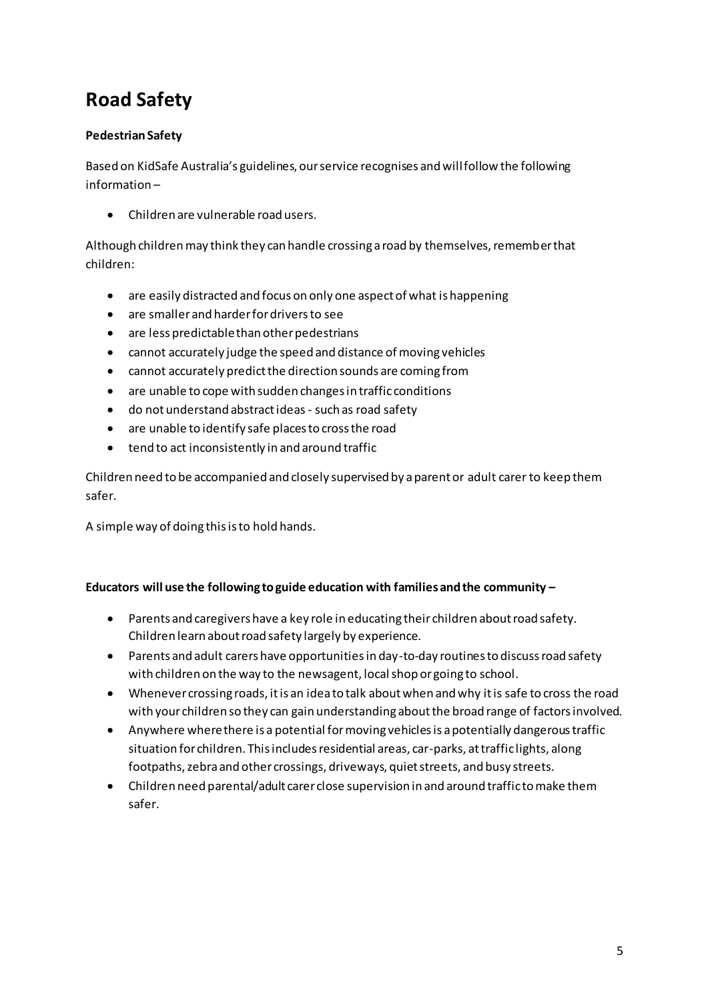# **Road Safety**

#### **Pedestrian Safety**

Based on KidSafe Australia's guidelines, our service recognises and will follow the following information –

• Children are vulnerable road users.

Although children may think they can handle crossing a road by themselves, remember that children:

- are easily distracted and focus on only one aspect of what is happening
- are smaller and harder for drivers to see
- are less predictable than other pedestrians
- cannot accurately judge the speed and distance of moving vehicles
- cannot accurately predict the direction sounds are coming from
- are unable to cope with sudden changes in traffic conditions
- do not understand abstract ideas such as road safety
- are unable to identify safe places to cross the road
- tend to act inconsistently in and around traffic

Children need to be accompanied and closely supervised by a parent or adult carer to keep them safer.

A simple way of doing this is to hold hands.

#### **Educators will use the following to guide education with families and the community –**

- Parents and caregivers have a key role in educating their children about road safety. Children learn about road safety largely by experience.
- Parents and adult carers have opportunities in day-to-day routines to discuss road safety with children on the way to the newsagent, local shop or going to school.
- Whenever crossing roads, it is an idea to talk about when and why it is safe to cross the road with your children so they can gain understanding about the broad range of factors involved.
- Anywhere where there is a potential for moving vehicles is a potentially dangerous traffic situation for children. This includes residential areas, car-parks, at traffic lights, along footpaths, zebra and other crossings, driveways, quiet streets, and busy streets.
- Children need parental/adult carer close supervision in and around traffic to make them safer.